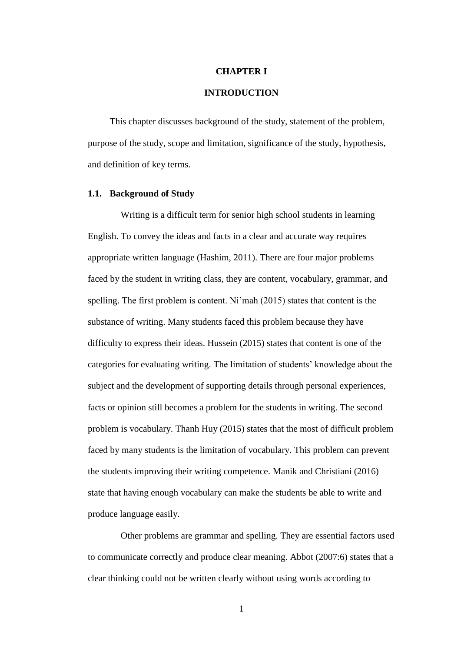### **CHAPTER I**

# **INTRODUCTION**

This chapter discusses background of the study, statement of the problem, purpose of the study, scope and limitation, significance of the study, hypothesis, and definition of key terms.

#### **1.1. Background of Study**

Writing is a difficult term for senior high school students in learning English. To convey the ideas and facts in a clear and accurate way requires appropriate written language (Hashim, 2011). There are four major problems faced by the student in writing class, they are content, vocabulary, grammar, and spelling. The first problem is content. Ni'mah (2015) states that content is the substance of writing. Many students faced this problem because they have difficulty to express their ideas. Hussein (2015) states that content is one of the categories for evaluating writing. The limitation of students' knowledge about the subject and the development of supporting details through personal experiences, facts or opinion still becomes a problem for the students in writing. The second problem is vocabulary. Thanh Huy (2015) states that the most of difficult problem faced by many students is the limitation of vocabulary. This problem can prevent the students improving their writing competence. Manik and Christiani (2016) state that having enough vocabulary can make the students be able to write and produce language easily.

Other problems are grammar and spelling. They are essential factors used to communicate correctly and produce clear meaning. Abbot (2007:6) states that a clear thinking could not be written clearly without using words according to

1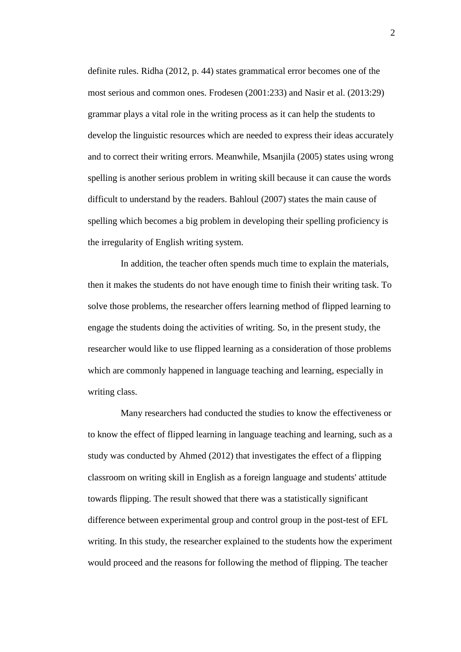definite rules. Ridha (2012, p. 44) states grammatical error becomes one of the most serious and common ones. Frodesen (2001:233) and Nasir et al. (2013:29) grammar plays a vital role in the writing process as it can help the students to develop the linguistic resources which are needed to express their ideas accurately and to correct their writing errors. Meanwhile, Msanjila (2005) states using wrong spelling is another serious problem in writing skill because it can cause the words difficult to understand by the readers. Bahloul (2007) states the main cause of spelling which becomes a big problem in developing their spelling proficiency is the irregularity of English writing system.

In addition, the teacher often spends much time to explain the materials, then it makes the students do not have enough time to finish their writing task. To solve those problems, the researcher offers learning method of flipped learning to engage the students doing the activities of writing. So, in the present study, the researcher would like to use flipped learning as a consideration of those problems which are commonly happened in language teaching and learning, especially in writing class.

Many researchers had conducted the studies to know the effectiveness or to know the effect of flipped learning in language teaching and learning, such as a study was conducted by Ahmed (2012) that investigates the effect of a flipping classroom on writing skill in English as a foreign language and students' attitude towards flipping. The result showed that there was a statistically significant difference between experimental group and control group in the post-test of EFL writing. In this study, the researcher explained to the students how the experiment would proceed and the reasons for following the method of flipping. The teacher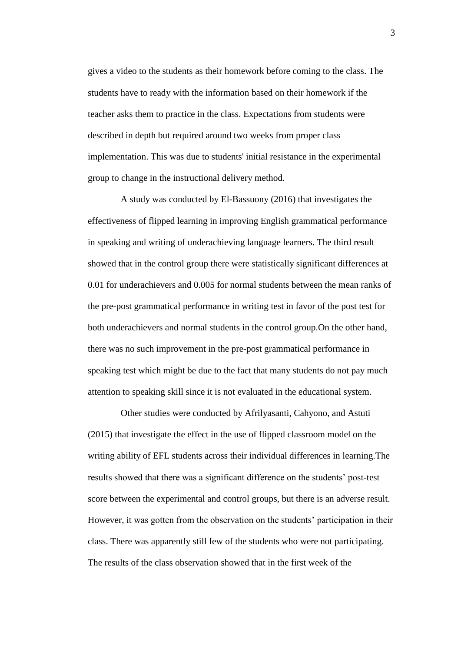gives a video to the students as their homework before coming to the class. The students have to ready with the information based on their homework if the teacher asks them to practice in the class. Expectations from students were described in depth but required around two weeks from proper class implementation. This was due to students' initial resistance in the experimental group to change in the instructional delivery method.

A study was conducted by El-Bassuony (2016) that investigates the effectiveness of flipped learning in improving English grammatical performance in speaking and writing of underachieving language learners. The third result showed that in the control group there were statistically significant differences at 0.01 for underachievers and 0.005 for normal students between the mean ranks of the pre-post grammatical performance in writing test in favor of the post test for both underachievers and normal students in the control group.On the other hand, there was no such improvement in the pre-post grammatical performance in speaking test which might be due to the fact that many students do not pay much attention to speaking skill since it is not evaluated in the educational system.

Other studies were conducted by Afrilyasanti, Cahyono, and Astuti (2015) that investigate the effect in the use of flipped classroom model on the writing ability of EFL students across their individual differences in learning.The results showed that there was a significant difference on the students' post-test score between the experimental and control groups, but there is an adverse result. However, it was gotten from the observation on the students' participation in their class. There was apparently still few of the students who were not participating. The results of the class observation showed that in the first week of the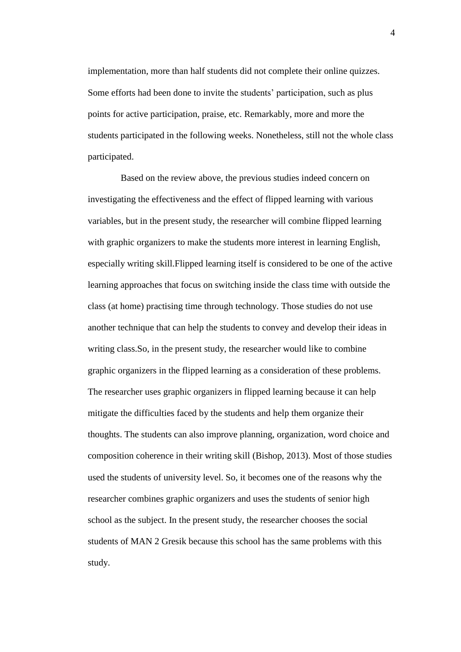implementation, more than half students did not complete their online quizzes. Some efforts had been done to invite the students' participation, such as plus points for active participation, praise, etc. Remarkably, more and more the students participated in the following weeks. Nonetheless, still not the whole class participated.

Based on the review above, the previous studies indeed concern on investigating the effectiveness and the effect of flipped learning with various variables, but in the present study, the researcher will combine flipped learning with graphic organizers to make the students more interest in learning English, especially writing skill.Flipped learning itself is considered to be one of the active learning approaches that focus on switching inside the class time with outside the class (at home) practising time through technology. Those studies do not use another technique that can help the students to convey and develop their ideas in writing class.So, in the present study, the researcher would like to combine graphic organizers in the flipped learning as a consideration of these problems. The researcher uses graphic organizers in flipped learning because it can help mitigate the difficulties faced by the students and help them organize their thoughts. The students can also improve planning, organization, word choice and composition coherence in their writing skill (Bishop, 2013). Most of those studies used the students of university level. So, it becomes one of the reasons why the researcher combines graphic organizers and uses the students of senior high school as the subject. In the present study, the researcher chooses the social students of MAN 2 Gresik because this school has the same problems with this study.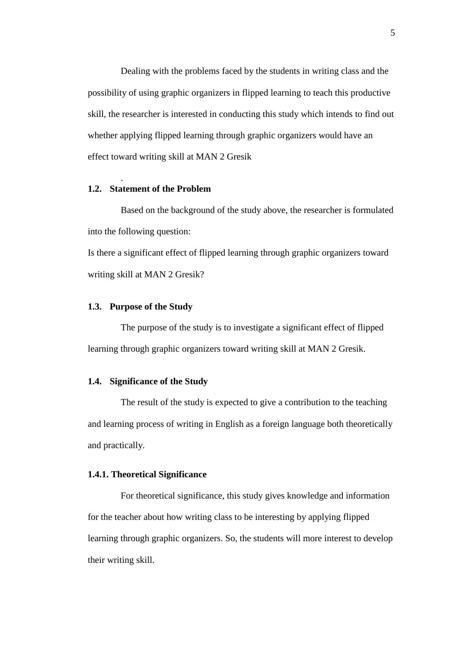Dealing with the problems faced by the students in writing class and the possibility of using graphic organizers in flipped learning to teach this productive skill, the researcher is interested in conducting this study which intends to find out whether applying flipped learning through graphic organizers would have an effect toward writing skill at MAN 2 Gresik

#### **1.2. Statement of the Problem**

.

Based on the background of the study above, the researcher is formulated into the following question:

Is there a significant effect of flipped learning through graphic organizers toward writing skill at MAN 2 Gresik?

### **1.3. Purpose of the Study**

The purpose of the study is to investigate a significant effect of flipped learning through graphic organizers toward writing skill at MAN 2 Gresik.

## **1.4. Significance of the Study**

The result of the study is expected to give a contribution to the teaching and learning process of writing in English as a foreign language both theoretically and practically.

# **1.4.1. Theoretical Significance**

For theoretical significance, this study gives knowledge and information for the teacher about how writing class to be interesting by applying flipped learning through graphic organizers. So, the students will more interest to develop their writing skill.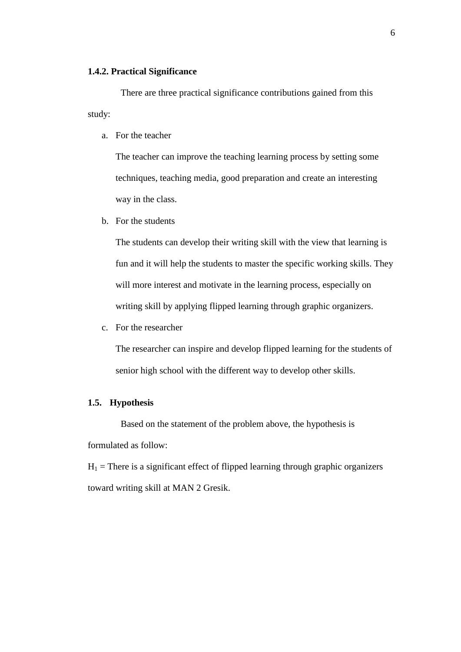### **1.4.2. Practical Significance**

There are three practical significance contributions gained from this study:

a. For the teacher

The teacher can improve the teaching learning process by setting some techniques, teaching media, good preparation and create an interesting way in the class.

b. For the students

The students can develop their writing skill with the view that learning is fun and it will help the students to master the specific working skills. They will more interest and motivate in the learning process, especially on writing skill by applying flipped learning through graphic organizers.

c. For the researcher

The researcher can inspire and develop flipped learning for the students of senior high school with the different way to develop other skills.

# **1.5. Hypothesis**

Based on the statement of the problem above, the hypothesis is formulated as follow:

 $H_1$  = There is a significant effect of flipped learning through graphic organizers toward writing skill at MAN 2 Gresik.